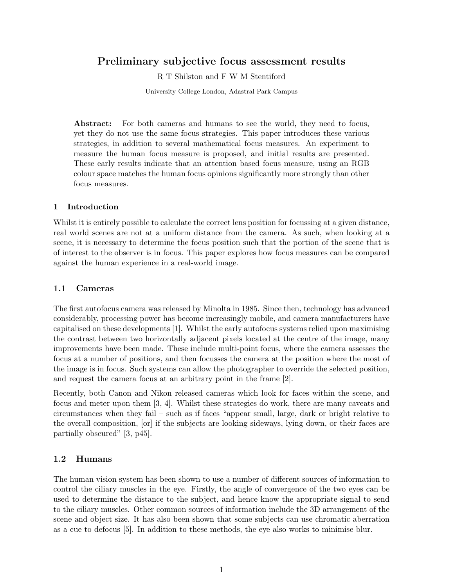# Preliminary subjective focus assessment results

R T Shilston and F W M Stentiford

University College London, Adastral Park Campus

Abstract: For both cameras and humans to see the world, they need to focus, yet they do not use the same focus strategies. This paper introduces these various strategies, in addition to several mathematical focus measures. An experiment to measure the human focus measure is proposed, and initial results are presented. These early results indicate that an attention based focus measure, using an RGB colour space matches the human focus opinions significantly more strongly than other focus measures.

#### 1 Introduction

Whilst it is entirely possible to calculate the correct lens position for focussing at a given distance, real world scenes are not at a uniform distance from the camera. As such, when looking at a scene, it is necessary to determine the focus position such that the portion of the scene that is of interest to the observer is in focus. This paper explores how focus measures can be compared against the human experience in a real-world image.

#### 1.1 Cameras

The first autofocus camera was released by Minolta in 1985. Since then, technology has advanced considerably, processing power has become increasingly mobile, and camera manufacturers have capitalised on these developments [\[1\]](#page-3-0). Whilst the early autofocus systems relied upon maximising the contrast between two horizontally adjacent pixels located at the centre of the image, many improvements have been made. These include multi-point focus, where the camera assesses the focus at a number of positions, and then focusses the camera at the position where the most of the image is in focus. Such systems can allow the photographer to override the selected position, and request the camera focus at an arbitrary point in the frame [\[2\]](#page-3-1).

Recently, both Canon and Nikon released cameras which look for faces within the scene, and focus and meter upon them [\[3,](#page-3-2) [4\]](#page-3-3). Whilst these strategies do work, there are many caveats and circumstances when they fail – such as if faces "appear small, large, dark or bright relative to the overall composition, [or] if the subjects are looking sideways, lying down, or their faces are partially obscured" [\[3,](#page-3-2) p45].

#### 1.2 Humans

The human vision system has been shown to use a number of different sources of information to control the ciliary muscles in the eye. Firstly, the angle of convergence of the two eyes can be used to determine the distance to the subject, and hence know the appropriate signal to send to the ciliary muscles. Other common sources of information include the 3D arrangement of the scene and object size. It has also been shown that some subjects can use chromatic aberration as a cue to defocus [\[5\]](#page-3-4). In addition to these methods, the eye also works to minimise blur.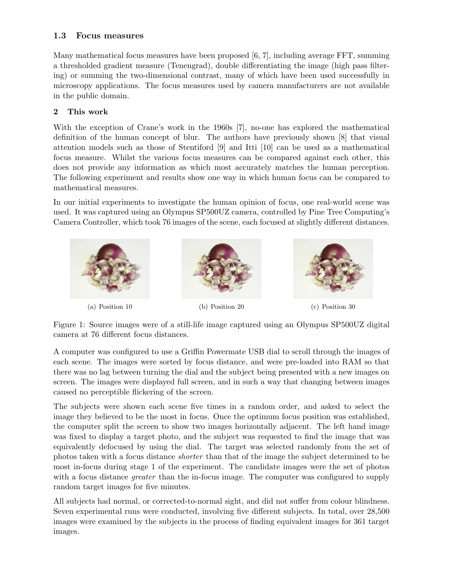# 1.3 Focus measures

Many mathematical focus measures have been proposed [\[6,](#page-3-5) [7\]](#page-3-6), including average FFT, summing a thresholded gradient measure (Tenengrad), double differentiating the image (high pass filtering) or summing the two-dimensional contrast, many of which have been used successfully in microscopy applications. The focus measures used by camera manufacturers are not available in the public domain.

## 2 This work

With the exception of Crane's work in the 1960s [\[7\]](#page-3-6), no-one has explored the mathematical definition of the human concept of blur. The authors have previously shown [\[8\]](#page-3-7) that visual attention models such as those of Stentiford [\[9\]](#page-3-8) and Itti [\[10\]](#page-3-9) can be used as a mathematical focus measure. Whilst the various focus measures can be compared against each other, this does not provide any information as which most accurately matches the human perception. The following experiment and results show one way in which human focus can be compared to mathematical measures.

In our initial experiments to investigate the human opinion of focus, one real-world scene was used. It was captured using an Olympus SP500UZ camera, controlled by Pine Tree Computing's Camera Controller, which took 76 images of the scene, each focused at slightly different distances.



Figure 1: Source images were of a still-life image captured using an Olympus SP500UZ digital camera at 76 different focus distances.

A computer was configured to use a Griffin Powermate USB dial to scroll through the images of each scene. The images were sorted by focus distance, and were pre-loaded into RAM so that there was no lag between turning the dial and the subject being presented with a new images on screen. The images were displayed full screen, and in such a way that changing between images caused no perceptible flickering of the screen.

The subjects were shown each scene five times in a random order, and asked to select the image they believed to be the most in focus. Once the optimum focus position was established, the computer split the screen to show two images horizontally adjacent. The left hand image was fixed to display a target photo, and the subject was requested to find the image that was equivalently defocused by using the dial. The target was selected randomly from the set of photos taken with a focus distance shorter than that of the image the subject determined to be most in-focus during stage 1 of the experiment. The candidate images were the set of photos with a focus distance *greater* than the in-focus image. The computer was configured to supply random target images for five minutes.

All subjects had normal, or corrected-to-normal sight, and did not suffer from colour blindness. Seven experimental runs were conducted, involving five different subjects. In total, over 28,500 images were examined by the subjects in the process of finding equivalent images for 361 target images.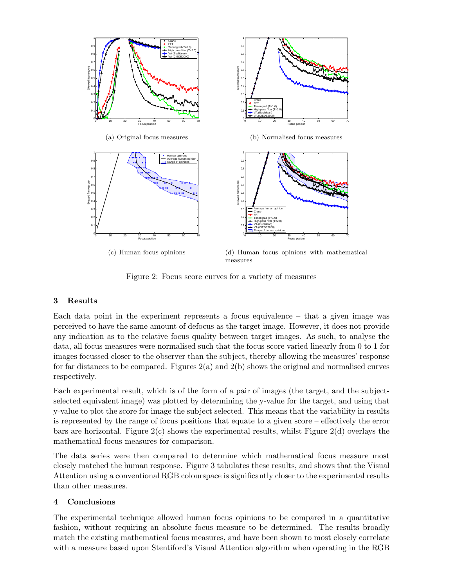<span id="page-2-1"></span><span id="page-2-0"></span>

<span id="page-2-3"></span><span id="page-2-2"></span>Figure 2: Focus score curves for a variety of measures

## 3 Results

Each data point in the experiment represents a focus equivalence – that a given image was perceived to have the same amount of defocus as the target image. However, it does not provide any indication as to the relative focus quality between target images. As such, to analyse the data, all focus measures were normalised such that the focus score varied linearly from 0 to 1 for images focussed closer to the observer than the subject, thereby allowing the measures' response for far distances to be compared. Figures [2\(a\)](#page-2-0) and [2\(b\)](#page-2-1) shows the original and normalised curves respectively.

Each experimental result, which is of the form of a pair of images (the target, and the subjectselected equivalent image) was plotted by determining the y-value for the target, and using that y-value to plot the score for image the subject selected. This means that the variability in results is represented by the range of focus positions that equate to a given score – effectively the error bars are horizontal. Figure  $2(c)$  shows the experimental results, whilst Figure  $2(d)$  overlays the mathematical focus measures for comparison.

The data series were then compared to determine which mathematical focus measure most closely matched the human response. Figure [3](#page-3-10) tabulates these results, and shows that the Visual Attention using a conventional RGB colourspace is significantly closer to the experimental results than other measures.

## 4 Conclusions

The experimental technique allowed human focus opinions to be compared in a quantitative fashion, without requiring an absolute focus measure to be determined. The results broadly match the existing mathematical focus measures, and have been shown to most closely correlate with a measure based upon Stentiford's Visual Attention algorithm when operating in the RGB